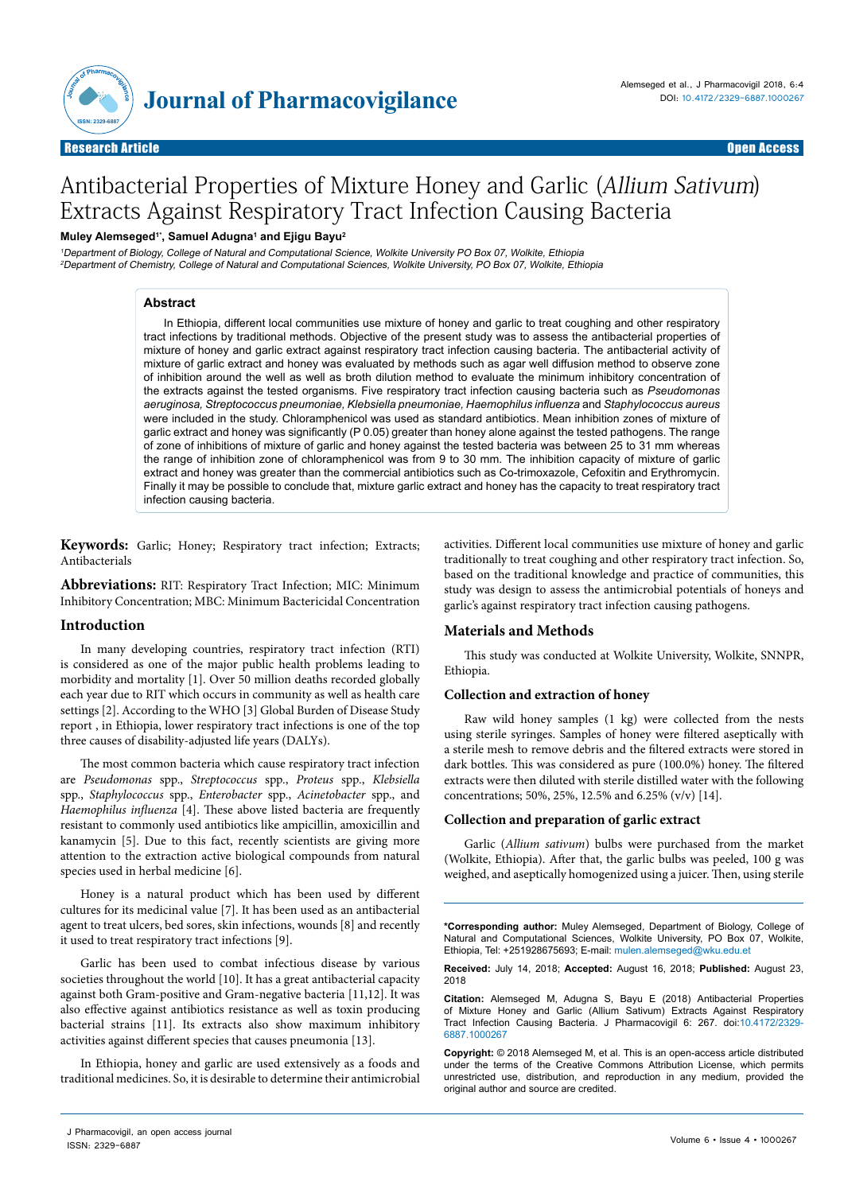

Open Access

# Antibacterial Properties of Mixture Honey and Garlic (Allium Sativum) Extracts Against Respiratory Tract Infection Causing Bacteria

## **Muley Alemseged1\*, Samuel Adugna1 and Ejigu Bayu2**

<sup>1</sup>Department of Biology, College of Natural and Computational Science, Wolkite University PO Box 07, Wolkite, Ethiopia <sup>2</sup>Department of Chemistry, College of Natural and Computational Sciences, Wolkite University, PO Box 07, Wolkite, Ethiopia

## **Abstract**

In Ethiopia, different local communities use mixture of honey and garlic to treat coughing and other respiratory tract infections by traditional methods. Objective of the present study was to assess the antibacterial properties of mixture of honey and garlic extract against respiratory tract infection causing bacteria. The antibacterial activity of mixture of garlic extract and honey was evaluated by methods such as agar well diffusion method to observe zone of inhibition around the well as well as broth dilution method to evaluate the minimum inhibitory concentration of the extracts against the tested organisms. Five respiratory tract infection causing bacteria such as *Pseudomonas aeruginosa, Streptococcus pneumoniae, Klebsiella pneumoniae, Haemophilus influenza* and *Staphylococcus aureus*  were included in the study. Chloramphenicol was used as standard antibiotics. Mean inhibition zones of mixture of garlic extract and honey was significantly (P 0.05) greater than honey alone against the tested pathogens. The range of zone of inhibitions of mixture of garlic and honey against the tested bacteria was between 25 to 31 mm whereas the range of inhibition zone of chloramphenicol was from 9 to 30 mm. The inhibition capacity of mixture of garlic extract and honey was greater than the commercial antibiotics such as Co-trimoxazole, Cefoxitin and Erythromycin. Finally it may be possible to conclude that, mixture garlic extract and honey has the capacity to treat respiratory tract infection causing bacteria.

**Keywords:** Garlic; Honey; Respiratory tract infection; Extracts; Antibacterials

**Abbreviations:** RIT: Respiratory Tract Infection; MIC: Minimum Inhibitory Concentration; MBC: Minimum Bactericidal Concentration

## **Introduction**

In many developing countries, respiratory tract infection (RTI) is considered as one of the major public health problems leading to morbidity and mortality [1]. Over 50 million deaths recorded globally each year due to RIT which occurs in community as well as health care settings [2]. According to the WHO [3] Global Burden of Disease Study report , in Ethiopia, lower respiratory tract infections is one of the top three causes of disability-adjusted life years (DALYs).

The most common bacteria which cause respiratory tract infection are *Pseudomonas* spp., *Streptococcus* spp., *Proteus* spp., *Klebsiella* spp., *Staphylococcus* spp., *Enterobacter* spp., *Acinetobacter* spp., and *Haemophilus influenza* [4]. These above listed bacteria are frequently resistant to commonly used antibiotics like ampicillin, amoxicillin and kanamycin [5]. Due to this fact, recently scientists are giving more attention to the extraction active biological compounds from natural species used in herbal medicine [6].

Honey is a natural product which has been used by different cultures for its medicinal value [7]. It has been used as an antibacterial agent to treat ulcers, bed sores, skin infections, wounds [8] and recently it used to treat respiratory tract infections [9].

Garlic has been used to combat infectious disease by various societies throughout the world [10]. It has a great antibacterial capacity against both Gram-positive and Gram-negative bacteria [11,12]. It was also effective against antibiotics resistance as well as toxin producing bacterial strains [11]. Its extracts also show maximum inhibitory activities against different species that causes pneumonia [13].

In Ethiopia, honey and garlic are used extensively as a foods and traditional medicines. So, it is desirable to determine their antimicrobial

activities. Different local communities use mixture of honey and garlic traditionally to treat coughing and other respiratory tract infection. So, based on the traditional knowledge and practice of communities, this study was design to assess the antimicrobial potentials of honeys and garlic's against respiratory tract infection causing pathogens.

# **Materials and Methods**

This study was conducted at Wolkite University, Wolkite, SNNPR, Ethiopia.

## **Collection and extraction of honey**

Raw wild honey samples (1 kg) were collected from the nests using sterile syringes. Samples of honey were filtered aseptically with a sterile mesh to remove debris and the filtered extracts were stored in dark bottles. This was considered as pure (100.0%) honey. The filtered extracts were then diluted with sterile distilled water with the following concentrations; 50%, 25%, 12.5% and 6.25% (v/v) [14].

## **Collection and preparation of garlic extract**

Garlic (*Allium sativum*) bulbs were purchased from the market (Wolkite, Ethiopia). After that, the garlic bulbs was peeled, 100 g was weighed, and aseptically homogenized using a juicer. Then, using sterile

**\*Corresponding author:** Muley Alemseged, Department of Biology, College of Natural and Computational Sciences, Wolkite University, PO Box 07, Wolkite, Ethiopia, Tel: +251928675693; E-mail: mulen.alemseged@wku.edu.et

**Received:** July 14, 2018; **Accepted:** August 16, 2018; **Published:** August 23, 2018

**Citation:** Alemseged M, Adugna S, Bayu E (2018) Antibacterial Properties of Mixture Honey and Garlic (Allium Sativum) Extracts Against Respiratory Tract Infection Causing Bacteria. J Pharmacovigil 6: 267. doi:10.4172/2329-6887.1000267

**Copyright:** © 2018 Alemseged M, et al. This is an open-access article distributed under the terms of the Creative Commons Attribution License, which permits unrestricted use, distribution, and reproduction in any medium, provided the original author and source are credited.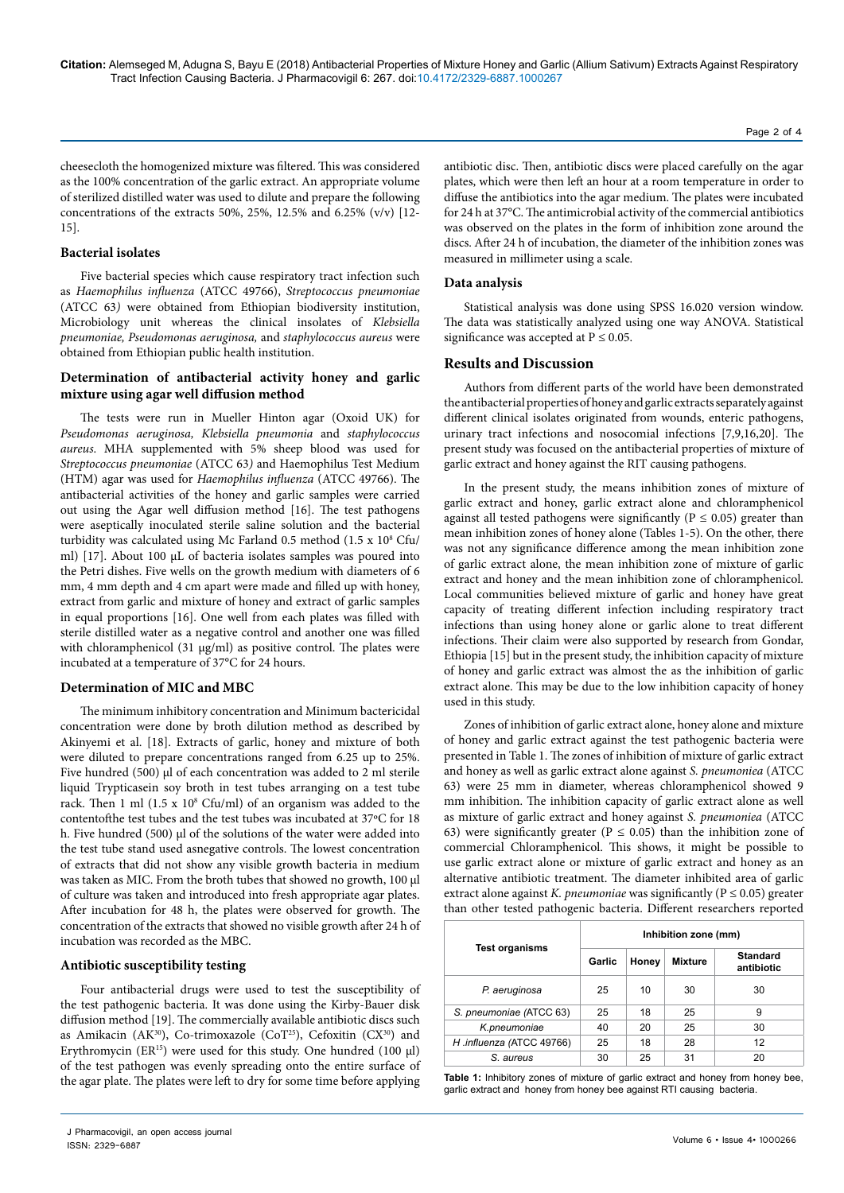cheesecloth the homogenized mixture was filtered. This was considered as the 100% concentration of the garlic extract. An appropriate volume of sterilized distilled water was used to dilute and prepare the following concentrations of the extracts 50%, 25%, 12.5% and 6.25% (v/v) [12- 15].

## **Bacterial isolates**

Five bacterial species which cause respiratory tract infection such as *Haemophilus influenza* (ATCC 49766), *Streptococcus pneumoniae*  (ATCC 63*)* were obtained from Ethiopian biodiversity institution, Microbiology unit whereas the clinical insolates of *Klebsiella pneumoniae, Pseudomonas aeruginosa,* and *staphylococcus aureus* were obtained from Ethiopian public health institution.

# **Determination of antibacterial activity honey and garlic mixture using agar well diffusion method**

The tests were run in Mueller Hinton agar (Oxoid UK) for *Pseudomonas aeruginosa, Klebsiella pneumonia* and *staphylococcus aureus*. MHA supplemented with 5% sheep blood was used for *Streptococcus pneumoniae* (ATCC 63*)* and Haemophilus Test Medium (HTM) agar was used for *Haemophilus influenza* (ATCC 49766). The antibacterial activities of the honey and garlic samples were carried out using the Agar well diffusion method [16]. The test pathogens were aseptically inoculated sterile saline solution and the bacterial turbidity was calculated using Mc Farland 0.5 method (1.5 x 10<sup>8</sup> Cfu/ ml) [17]. About 100 µL of bacteria isolates samples was poured into the Petri dishes. Five wells on the growth medium with diameters of 6 mm, 4 mm depth and 4 cm apart were made and filled up with honey, extract from garlic and mixture of honey and extract of garlic samples in equal proportions [16]. One well from each plates was filled with sterile distilled water as a negative control and another one was filled with chloramphenicol (31 µg/ml) as positive control. The plates were incubated at a temperature of 37°C for 24 hours.

#### **Determination of MIC and MBC**

The minimum inhibitory concentration and Minimum bactericidal concentration were done by broth dilution method as described by Akinyemi et al. [18]. Extracts of garlic, honey and mixture of both were diluted to prepare concentrations ranged from 6.25 up to 25%. Five hundred (500)  $\mu$ l of each concentration was added to 2 ml sterile liquid Trypticasein soy broth in test tubes arranging on a test tube rack. Then 1 ml (1.5 x 10<sup>8</sup> Cfu/ml) of an organism was added to the contentofthe test tubes and the test tubes was incubated at 37ºC for 18 h. Five hundred (500) µl of the solutions of the water were added into the test tube stand used asnegative controls. The lowest concentration of extracts that did not show any visible growth bacteria in medium was taken as MIC. From the broth tubes that showed no growth, 100 µl of culture was taken and introduced into fresh appropriate agar plates. After incubation for 48 h, the plates were observed for growth. The concentration of the extracts that showed no visible growth after 24 h of incubation was recorded as the MBC.

## **Antibiotic susceptibility testing**

Four antibacterial drugs were used to test the susceptibility of the test pathogenic bacteria. It was done using the Kirby-Bauer disk diffusion method [19]. The commercially available antibiotic discs such as Amikacin (AK<sup>30</sup>), Co-trimoxazole (CoT<sup>25</sup>), Cefoxitin (CX<sup>30</sup>) and Erythromycin (ER<sup>15</sup>) were used for this study. One hundred (100  $\mu$ I) of the test pathogen was evenly spreading onto the entire surface of the agar plate. The plates were left to dry for some time before applying antibiotic disc. Then, antibiotic discs were placed carefully on the agar plates, which were then left an hour at a room temperature in order to diffuse the antibiotics into the agar medium. The plates were incubated for 24 h at 37°C. The antimicrobial activity of the commercial antibiotics was observed on the plates in the form of inhibition zone around the discs. After 24 h of incubation, the diameter of the inhibition zones was measured in millimeter using a scale.

## **Data analysis**

Statistical analysis was done using SPSS 16.020 version window. The data was statistically analyzed using one way ANOVA. Statistical significance was accepted at  $P \leq 0.05$ .

## **Results and Discussion**

Authors from different parts of the world have been demonstrated the antibacterial properties of honey and garlic extracts separately against different clinical isolates originated from wounds, enteric pathogens, urinary tract infections and nosocomial infections [7,9,16,20]. The present study was focused on the antibacterial properties of mixture of garlic extract and honey against the RIT causing pathogens.

In the present study, the means inhibition zones of mixture of garlic extract and honey, garlic extract alone and chloramphenicol against all tested pathogens were significantly ( $P \le 0.05$ ) greater than mean inhibition zones of honey alone (Tables 1-5). On the other, there was not any significance difference among the mean inhibition zone of garlic extract alone, the mean inhibition zone of mixture of garlic extract and honey and the mean inhibition zone of chloramphenicol. Local communities believed mixture of garlic and honey have great capacity of treating different infection including respiratory tract infections than using honey alone or garlic alone to treat different infections. Their claim were also supported by research from Gondar, Ethiopia [15] but in the present study, the inhibition capacity of mixture of honey and garlic extract was almost the as the inhibition of garlic extract alone. This may be due to the low inhibition capacity of honey used in this study.

Zones of inhibition of garlic extract alone, honey alone and mixture of honey and garlic extract against the test pathogenic bacteria were presented in Table 1. The zones of inhibition of mixture of garlic extract and honey as well as garlic extract alone against *S. pneumoniea* (ATCC 63) were 25 mm in diameter, whereas chloramphenicol showed 9 mm inhibition. The inhibition capacity of garlic extract alone as well as mixture of garlic extract and honey against *S. pneumoniea* (ATCC 63) were significantly greater ( $P \le 0.05$ ) than the inhibition zone of commercial Chloramphenicol. This shows, it might be possible to use garlic extract alone or mixture of garlic extract and honey as an alternative antibiotic treatment. The diameter inhibited area of garlic extract alone against *K. pneumoniae* was significantly ( $P \le 0.05$ ) greater than other tested pathogenic bacteria. Different researchers reported

|                           | Inhibition zone (mm) |       |         |                               |  |
|---------------------------|----------------------|-------|---------|-------------------------------|--|
| <b>Test organisms</b>     | Garlic               | Honey | Mixture | <b>Standard</b><br>antibiotic |  |
| P. aeruginosa             | 25                   | 10    | 30      | 30                            |  |
| S. pneumoniae (ATCC 63)   | 25                   | 18    | 25      | 9                             |  |
| K.pneumoniae              | 40                   | 20    | 25      | 30                            |  |
| H .influenza (ATCC 49766) | 25                   | 18    | 28      | 12                            |  |
| S. aureus                 | 30                   | 25    | 31      | 20                            |  |

**Table 1:** Inhibitory zones of mixture of garlic extract and honey from honey bee, garlic extract and honey from honey bee against RTI causing bacteria.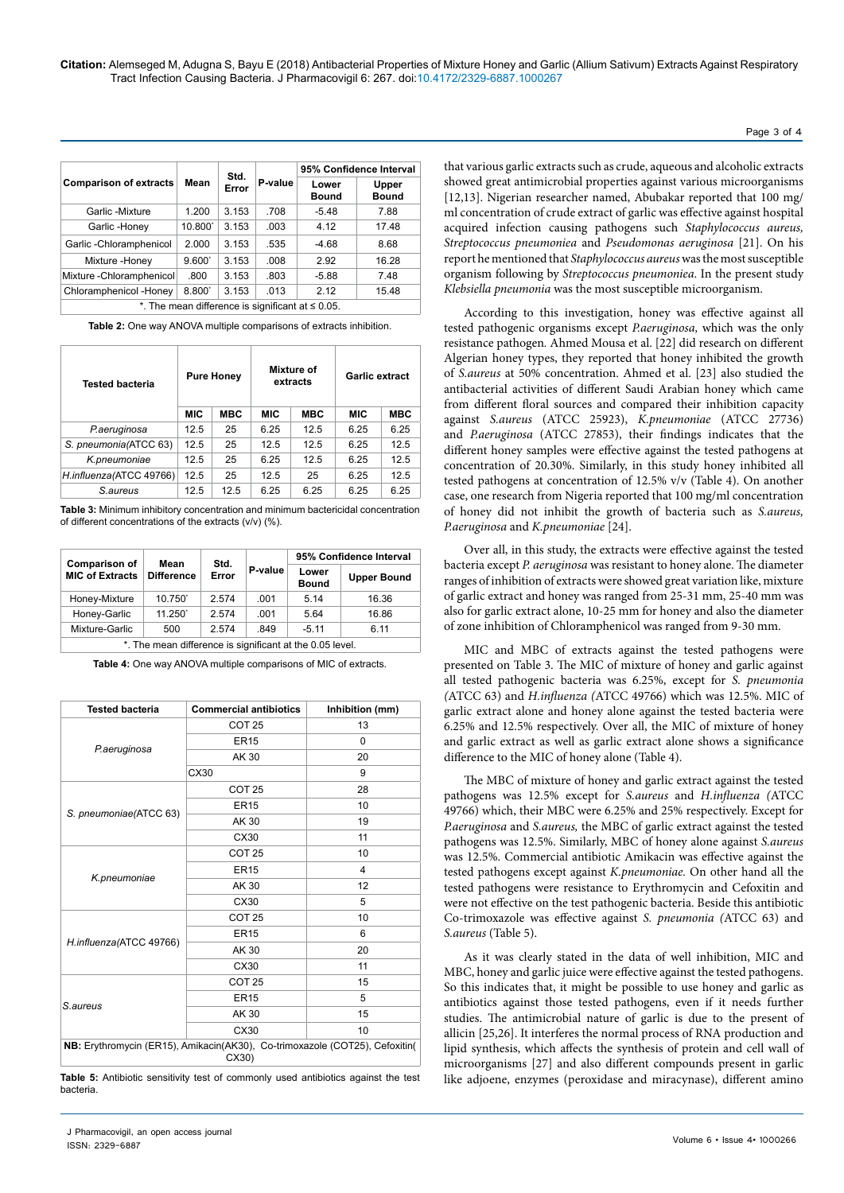|                                                        |                       |       |         | 95% Confidence Interval |                       |  |
|--------------------------------------------------------|-----------------------|-------|---------|-------------------------|-----------------------|--|
| <b>Comparison of extracts</b>                          | Std.<br>Mean<br>Error |       | P-value | Lower<br><b>Bound</b>   | Upper<br><b>Bound</b> |  |
| Garlic -Mixture                                        | 1.200                 | 3.153 | .708    | $-5.48$                 | 7.88                  |  |
| Garlic -Honey                                          | 10.800                | 3.153 | .003    | 4.12                    | 17.48                 |  |
| Garlic - Chloramphenicol                               | 2.000                 | 3.153 | .535    | $-4.68$                 | 8.68                  |  |
| Mixture -Honey                                         | $9.600^{\degree}$     | 3.153 | .008    | 2.92                    | 16.28                 |  |
| Mixture - Chloramphenicol                              | .800                  | 3.153 | .803    | $-5.88$                 | 7.48                  |  |
| Chloramphenicol -Honey                                 | $8.800^{\circ}$       | 3.153 | .013    | 2.12                    | 15.48                 |  |
| *. The mean difference is significant at $\leq 0.05$ . |                       |       |         |                         |                       |  |

**Table 2:** One way ANOVA multiple comparisons of extracts inhibition.

| <b>Tested bacteria</b>  |            | <b>Pure Honey</b> |            | Mixture of<br>extracts |            | <b>Garlic extract</b> |  |
|-------------------------|------------|-------------------|------------|------------------------|------------|-----------------------|--|
|                         | <b>MIC</b> | <b>MBC</b>        | <b>MIC</b> | <b>MBC</b>             | <b>MIC</b> | <b>MBC</b>            |  |
| P.aeruginosa            | 12.5       | 25                | 6.25       | 12.5                   | 6.25       | 6.25                  |  |
| S. pneumonia (ATCC 63)  | 12.5       | 25                | 12.5       | 12.5                   | 6.25       | 12.5                  |  |
| K.pneumoniae            | 12.5       | 25                | 6.25       | 12.5                   | 6.25       | 12.5                  |  |
| H.influenza(ATCC 49766) | 12.5       | 25                | 12.5       | 25                     | 6.25       | 12.5                  |  |
| S.aureus                | 12.5       | 12.5              | 6.25       | 6.25                   | 6.25       | 6.25                  |  |

**Table 3:** Minimum inhibitory concentration and minimum bactericidal concentration of different concentrations of the extracts (v/v) (%).

| <b>Comparison of</b>                                     | Mean              | Std.<br>Error | P-value | 95% Confidence Interval |                    |  |
|----------------------------------------------------------|-------------------|---------------|---------|-------------------------|--------------------|--|
| <b>MIC of Extracts</b>                                   | <b>Difference</b> |               |         | Lower<br><b>Bound</b>   | <b>Upper Bound</b> |  |
| Honey-Mixture                                            | 10.750            | 2.574         | .001    | 5.14                    | 16.36              |  |
| Honey-Garlic                                             | $11.250^{\circ}$  | 2.574         | .001    | 5.64                    | 16.86              |  |
| Mixture-Garlic                                           | 500               | 2.574         | .849    | $-5.11$                 | 6.11               |  |
| *. The mean difference is significant at the 0.05 level. |                   |               |         |                         |                    |  |

**Table 4:** One way ANOVA multiple comparisons of MIC of extracts.

| <b>Tested bacteria</b>                                                               | <b>Commercial antibiotics</b> | Inhibition (mm) |  |  |
|--------------------------------------------------------------------------------------|-------------------------------|-----------------|--|--|
| P.aeruginosa                                                                         | COT <sub>25</sub>             | 13              |  |  |
|                                                                                      | <b>ER15</b>                   | $\Omega$        |  |  |
|                                                                                      | AK 30                         | 20              |  |  |
|                                                                                      | CX30                          | 9               |  |  |
| S. pneumoniae(ATCC 63)                                                               | COT <sub>25</sub>             | 28              |  |  |
|                                                                                      | <b>ER15</b>                   | 10              |  |  |
|                                                                                      | AK 30                         | 19              |  |  |
|                                                                                      | CX30                          | 11              |  |  |
| K.pneumoniae                                                                         | COT <sub>25</sub>             | 10              |  |  |
|                                                                                      | <b>ER15</b>                   | $\overline{4}$  |  |  |
|                                                                                      | AK 30                         | 12              |  |  |
|                                                                                      | CX30                          | 5               |  |  |
| H.influenza(ATCC 49766)                                                              | COT <sub>25</sub>             | 10              |  |  |
|                                                                                      | <b>ER15</b>                   | 6               |  |  |
|                                                                                      | AK 30                         | 20              |  |  |
|                                                                                      | CX30                          | 11              |  |  |
| S.aureus                                                                             | COT <sub>25</sub>             | 15              |  |  |
|                                                                                      | <b>ER15</b>                   | 5               |  |  |
|                                                                                      | AK 30                         | 15              |  |  |
|                                                                                      | CX30                          | 10              |  |  |
| NB: Erythromycin (ER15), Amikacin(AK30), Co-trimoxazole (COT25), Cefoxitin(<br>CX30) |                               |                 |  |  |

**Table 5:** Antibiotic sensitivity test of commonly used antibiotics against the test bacteria.

that various garlic extracts such as crude, aqueous and alcoholic extracts showed great antimicrobial properties against various microorganisms [12,13]. Nigerian researcher named, Abubakar reported that 100 mg/ ml concentration of crude extract of garlic was effective against hospital acquired infection causing pathogens such *Staphylococcus aureus, Streptococcus pneumoniea* and *Pseudomonas aeruginosa* [21]. On his report he mentioned that *Staphylococcus aureus* was the most susceptible organism following by *Streptococcus pneumoniea*. In the present study *Klebsiella pneumonia* was the most susceptible microorganism.

According to this investigation, honey was effective against all tested pathogenic organisms except *P.aeruginosa,* which was the only resistance pathogen*.* Ahmed Mousa et al. [22] did research on different Algerian honey types, they reported that honey inhibited the growth of *S.aureus* at 50% concentration. Ahmed et al. [23] also studied the antibacterial activities of different Saudi Arabian honey which came from different floral sources and compared their inhibition capacity against *S.aureus* (ATCC 25923), *K.pneumoniae* (ATCC 27736) and *P.aeruginosa* (ATCC 27853), their findings indicates that the different honey samples were effective against the tested pathogens at concentration of 20.30%. Similarly, in this study honey inhibited all tested pathogens at concentration of 12.5% v/v (Table 4). On another case, one research from Nigeria reported that 100 mg/ml concentration of honey did not inhibit the growth of bacteria such as *S.aureus, P.aeruginosa* and *K.pneumoniae* [24].

Over all, in this study, the extracts were effective against the tested bacteria except *P. aeruginosa* was resistant to honey alone. The diameter ranges of inhibition of extracts were showed great variation like, mixture of garlic extract and honey was ranged from 25-31 mm, 25-40 mm was also for garlic extract alone, 10-25 mm for honey and also the diameter of zone inhibition of Chloramphenicol was ranged from 9-30 mm.

MIC and MBC of extracts against the tested pathogens were presented on Table 3. The MIC of mixture of honey and garlic against all tested pathogenic bacteria was 6.25%, except for *S. pneumonia (*ATCC 63) and *H.influenza (*ATCC 49766) which was 12.5%. MIC of garlic extract alone and honey alone against the tested bacteria were 6.25% and 12.5% respectively. Over all, the MIC of mixture of honey and garlic extract as well as garlic extract alone shows a significance difference to the MIC of honey alone (Table 4).

The MBC of mixture of honey and garlic extract against the tested pathogens was 12.5% except for *S.aureus* and *H.influenza (*ATCC 49766) which, their MBC were 6.25% and 25% respectively. Except for *P.aeruginosa* and *S.aureus,* the MBC of garlic extract against the tested pathogens was 12.5%. Similarly, MBC of honey alone against *S.aureus*  was 12.5%. Commercial antibiotic Amikacin was effective against the tested pathogens except against *K.pneumoniae.* On other hand all the tested pathogens were resistance to Erythromycin and Cefoxitin and were not effective on the test pathogenic bacteria. Beside this antibiotic Co-trimoxazole was effective against *S. pneumonia (*ATCC 63) and *S.aureus* (Table 5).

As it was clearly stated in the data of well inhibition, MIC and MBC, honey and garlic juice were effective against the tested pathogens. So this indicates that, it might be possible to use honey and garlic as antibiotics against those tested pathogens, even if it needs further studies. The antimicrobial nature of garlic is due to the present of allicin [25,26]. It interferes the normal process of RNA production and lipid synthesis, which affects the synthesis of protein and cell wall of microorganisms [27] and also different compounds present in garlic like adjoene, enzymes (peroxidase and miracynase), different amino